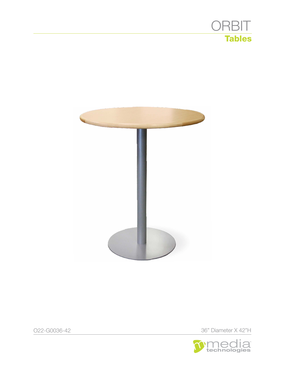



O22-G0036-42 36" Diameter X 42"H

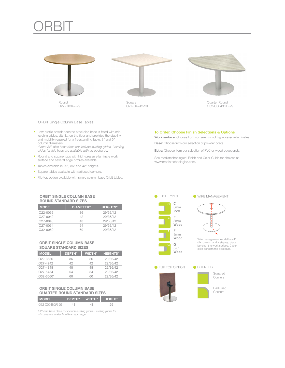## **ORBIT**



### ORBIT Single Column Base Tables

• Low profile powder coated steel disc base is fitted with mini leveling glides, sits flat on the floor and provides the stability and mobility required for a freestanding table. 3" and 6" column diameters. \**Note: 32" disc base does not include leveling glides. Leveling* 

*glides for this base are available with an upcharge.*

- • Round and square tops with high-pressure laminate work surface and several edge profiles available.
- Tables available in 29", 36" and 42" heights.
- • Square tables available with radiused corners.
- Flip top option available with single column base Orbit tables.

#### To Order, Choose Finish Selections & Options

Work surface: Choose from our selection of high-pressure laminates. **Base:** Choose from our selection of powder coats.

Edge: Choose from our selection of PVC or wood edgebands.

See mediatechnologies' Finish and Color Guide for choices at www.mediatechnologies.com.

## ORBIT SINGLE COLUMN BASE ROUND STANDARD SIZES

| <b>MODEL</b>          | <b>DIAMETER</b> " | <b>HEIGHTS"</b> |
|-----------------------|-------------------|-----------------|
| O <sub>22</sub> -0036 | 36                | 29/36/42        |
| 027-0042              | 42                | 29/36/42        |
| 027-0048              | 48                | 29/36/42        |
| 027-0054              | 54                | 29/36/42        |
| $0.32 - 0.060*$       | GΠ                | 29/36/42        |

#### ORBIT SINGLE COLUMN BASE SQUARE STANDARD SIZES

| <b>MODEL</b>          | DEPTH" | <b>WIDTH</b> " | <b>HEIGHTS"</b> |
|-----------------------|--------|----------------|-----------------|
| O <sub>22</sub> -3636 | 36     | 36             | 29/36/42        |
| 027-4242              | 42     | 42             | 29/36/42        |
| 027-4848              | 48     | 48             | 29/36/42        |
| O <sub>27</sub> -5454 | 54     | 54             | 29/36/42        |
| $0.32 - 6060*$        |        |                | 29/36/42        |

## ORBIT SINGLE COLUMN BASE QUARTER ROUND STANDARD SIZES

| <b>MODEL</b>   | 'DEPTH"   WIDTH". | <b>HEIGHT</b> " |
|----------------|-------------------|-----------------|
| 032-000480B-29 |                   |                 |

*\*32" disc base does not include leveling glides. Leveling glides for this base are available with an upcharge.*







Wire management model has 4" dia. column and a step-up place beneath the work surface. Cable exits beneath the disc base.

> Squared **Corners**

Radiused Corners



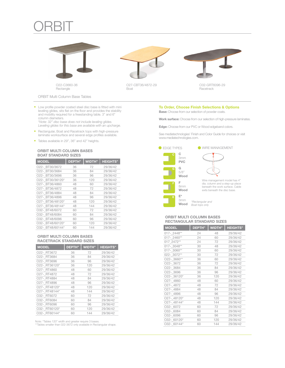# **ORBIT**









O32-GRT6096-29 Racetrack

ORBIT Multi Column Base Tables

• Low profile powder coated steel disc base is fitted with mini leveling glides, sits flat on the floor and provides the stability and mobility required for a freestanding table. 3" and 6" column diameters.

\**Note: 32" disc base does not include leveling glides. Leveling glides for this base are available with an upcharge.*

- • Rectangular, Boat and Racetrack tops with high-pressure laminate worksurface and several edge profiles available.
- • Tables available in 29", 36" and 42" heights.

## ORBIT MULTI COLUMN BASES BOAT STANDARD SIZES

| <b>MODEL</b>     | <b>DEPTH</b> " | <b>WIDTH"</b> | <b>HEIGHTS"</b> |
|------------------|----------------|---------------|-----------------|
| O22- BT30/3672   | 36             | 72            | 29/36/42        |
| O22- BT30/3684   | 36             | 84            | 29/36/42        |
| O22- BT30/3696   | 36             | 96            | 29/36/42        |
| O22- BT30/36120* | 36             | 120           | 29/36/42        |
| O27- BT36/4860   | 48             | 60            | 29/36/42        |
| O27- BT36/4872   | 48             | 72            | 29/36/42        |
| O27- BT36/4884   | 48             | 84            | 29/36/42        |
| O27- BT36/4896   | 48             | 96            | 29/36/42        |
| O27- BT36/48120* | 48             | 120           | 29/36/42        |
| O27- BT36/48144* | 48             | 144           | 29/36/42        |
| O32- BT48/6072   | 60             | 72            | 29/36/42        |
| O32- BT48/6084   | 60             | 84            | 29/36/42        |
| O32- BT48/6096   | 60             | 96            | 29/36/42        |
| O32- BT48/60120* | 60             | 120           | 29/36/42        |
| O32- BT48/60144* | 60             | 144           | 29/36/42        |

### ORBIT MULTI COLUMN BASES RACETRACK STANDARD SIZES

| <b>MODEL</b>  | <b>DEPTH"</b> | <b>WIDTH"</b> | <b>HEIGHTS"</b> |
|---------------|---------------|---------------|-----------------|
| O22- RT3672   | 36            | 72            | 29/36/42        |
| O22- RT3684   | 36            | 84            | 29/36/42        |
| O22- RT3696   | 36            | 96            | 29/36/42        |
| O22- RT36120* | 36            | 120           | 29/36/42        |
| O27- RT4860   | 48            | 60            | 29/36/42        |
| O27-RT4872    | 48            | 72            | 29/36/42        |
| O27- RT4884   | 48            | 84            | 29/36/42        |
| O27- RT4896   | 48            | 96            | 29/36/42        |
| O27- RT48120* | 48            | 120           | 29/36/42        |
| O27- RT48144* | 48            | 144           | 29/36/42        |
| O32- RT6072   | 60            | 72            | 29/36/42        |
| O32- RT6084   | 60            | 84            | 29/36/42        |
| O32- RT6096   | 60            | 96            | 29/36/42        |
| O32- RT60120* | 60            | 120           | 29/36/42        |
| O32- RT60144* | 60            | 144           | 29/36/42        |

## To Order, Choose Finish Selections & Options

**Base:** Choose from our selection of powder coats.

Work surface: Choose from our selection of high-pressure laminates.

Edge: Choose from our PVC or Wood edgeband colors.

See mediatechnologies' Finish and Color Guide for choices or visit www.mediatechnologies.com.



**EDGE TYPES** WIRE MANAGEMENT

## Wire management model has 4" dia. column and a step-up place beneath the work surface. Cable exits beneath the disc base.

*\*Rectangular and Boat tops only*

## ORBIT MULTI COLUMN BASES RECTANGULAR STANDARD SIZES

| O32- BT48/60144*                                                    | 60            | 144           | 29/36/42        |
|---------------------------------------------------------------------|---------------|---------------|-----------------|
|                                                                     |               |               |                 |
| <b>ORBIT MULTI COLUMN BASES</b>                                     |               |               |                 |
| <b>RACETRACK STANDARD SIZES</b>                                     |               |               |                 |
| <b>MODEL</b>                                                        | <b>DEPTH"</b> | <b>WIDTH"</b> | <b>HEIGHTS"</b> |
| O22- RT3672                                                         | 36            | 72            | 29/36/42        |
| O22- RT3684                                                         | 36            | 84            | 29/36/42        |
| O22- RT3696                                                         | 36            | 96            | 29/36/42        |
| O22- RT36120*                                                       | 36            | 120           | 29/36/42        |
| O27- RT4860                                                         | 48            | 60            | 29/36/42        |
| O27- RT4872                                                         | 48            | 72            | 29/36/42        |
| O27- RT4884                                                         | 48            | 84            | 29/36/42        |
| O27- RT4896                                                         | 48            | 96            | 29/36/42        |
| O27- RT48120*                                                       | 48            | 120           | 29/36/42        |
| O27- RT48144*                                                       | 48            | 144           | 29/36/42        |
| O32- RT6072                                                         | 60            | 72            | 29/36/42        |
| O32- RT6084                                                         | 60            | 84            | 29/36/42        |
| O32- RT6096                                                         | 60            | 96            | 29/36/42        |
| O32- RT60120*                                                       | 60            | 120           | 29/36/42        |
| O32- RT60144*                                                       | 60            | 144           | 29/36/42        |
|                                                                     |               |               |                 |
| Note: *Tables 120" width and greater require 3 bases.               |               |               |                 |
| **Tables smaller than 022-3672 only available in Rectangular shape. |               |               |                 |